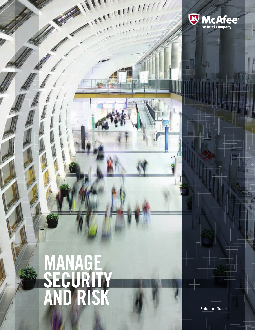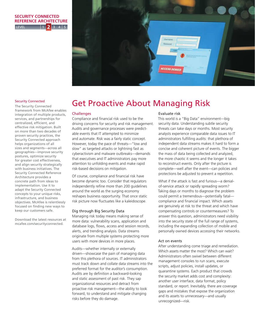### **LEVEL SECURITY CONNECTED REFERENCE ARCHITECTURE 2**



#### Security Connected

centralized, efficient, and<br>
is a set of the set of the set of the set of the set of the set of the set of the set of the set of the set o integration of multiple products, services, and partnerships for centralized, efficient, and<br>effective risk mitigation. Built Security Connected Reference for greater cost effectiveness,<br>and align security strategically and angli security strategically<br>with business initiatives. The The Security Connected framework from McAfee enables on more than two decades of proven security practices, the Security Connected approach helps organizations of all sizes and segments—across all geographies—improve security postures, optimize security for greater cost effectiveness, Architecture provides a concrete path from ideas to implementation. Use it to adapt the Security Connected concepts to your unique risks, infrastructure, and business objectives. McAfee is relentlessly focused on finding new ways to keep our customers safe.

Download the latest resources at [mcafee.com/securityconnected](www.mcafee.com/securityconnected).

# Get Proactive About Managing Risk

#### **Challenges**

Compliance and financial risk used to be the driving concerns for security and risk management. Audits and governance processes were predictable events that IT attempted to minimize and automate. Risk was a fairly static concept. However, today the pace of threats—"low and slow" as targeted attacks or lightning fast as cyberactivism and malware outbreaks—demands that executives and IT administrators pay more attention to unfolding events and make rapid risk-based decisions on mitigation.

Of course, compliance and financial risk have become dynamic too. Consider that regulators independently refine more than 200 guidelines around the world as the surging economy reshapes business opportunity. That once static risk picture now fluctuates like a kaleidoscope.

## Dig through Big Security Data

Managing risk today means making sense of more data: vulnerability scans, application and database logs, flows, access and session records, alerts, and trending analysis. Data streams originate from multiple systems protecting more users with more devices in more places.

Audits—whether internally or externally driven—showcase the pain of managing data from this plethora of sources. IT administrators must track down and collate data streams into the preferred format for the auditor's consumption. Audits are by definition a backward-looking and static assessment of past risk. They sap organizational resources and detract from proactive risk management—the ability to look forward, to understand and mitigate changing risks before they do damage.

## Evaluate risk

This world is a "Big Data" environment—big security data. Understanding subtle security threats can take days or months. Most security analysts experience comparable data issues to IT administrators fulfilling audits: that plethora of independent data streams makes it hard to form a concise and coherent picture of events. The bigger the mass of data being collected and analyzed, the more chaotic it seems and the longer it takes to reconstruct events. Only after the picture is complete—well after the event—can policies and protections be adjusted to prevent a repetition.

What if the attack is fast and furious—a denialof-service attack or rapidly spreading worm? Taking days or months to diagnose the problem could permit a tremendous—potentially fatal compliance and financial impact. Which assets are genuinely at risk to the threat and which have compensating controls or countermeasures? To answer this question, administrators need visibility into the security state of the full range of systems, including the expanding collection of mobile and personally owned devices accessing their networks.

### Act on events

After understanding come triage and remediation. Which assets matter the most? Which can wait? Administrators often swivel between different management consoles to run scans, execute scripts, adjust policies, install updates, or quarantine systems. Each product that crowds the security market adds cost and complexity: another user interface, data format, policy standard, or report. Inevitably, there are coverage gaps and mistakes that expose the organization and its assets to unnecessary—and usually unrecognized—risk.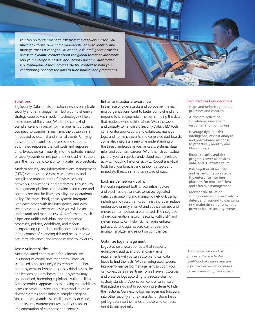*You can no longer manage risk from the rearview mirror. You must look forward—using a wide-angle lens—to identify and manage risk as it changes. Situational risk intelligence provides access to dynamic context about the global threat environment and your enterprise's assets and security posture. Automated risk management technologies use this context to help you continuously connect the dots to tune policies and protections.*

## **Solutions**

Big Security Data and its operational issues complicate security and risk management, but a comprehensive strategy coupled with modern technology will help make sense of the chaos. Within the context of compliance and financial risk management processes, you need to consider, in real time, the possible risks introduced by external and internal events. Unifying these efforts streamlines processes and supports automated responses that cut costs and response time. Executives gain visibility into the potential impact of security events on risk posture, while administrators gain the insight and control to mitigate risk proactively.

Modern security and information event management (SIEM) systems couple closely with security and compliance management of devices, servers, networks, applications, and databases. This security management platform can provide a command and control core that facilitates visibility and operational agility. The more closely these systems integrate with each other, with risk intelligence, and with security systems, the more easily you will be able to understand and manage risk. A platform approach aligns and unifies individual and fragmented processes, policies, workflows, and reports. Incorporating up-to-date intelligence places data in the context of changing risk and helps improve accuracy, relevance, and response time to lower risk.

## Assess vulnerabilities

Most regulated entities scan for vulnerabilities in support of compliance mandates. However, scheduled scans routinely miss remote and hibernating systems or bypass business-critical assets like applications and databases. Rogue systems may go unnoticed, harboring exploitable vulnerabilities. A conscientious approach to managing vulnerabilities across networked assets can accommodate these diverse systems and eliminate compliance gaps. You can use dynamic risk intelligence, asset value, and relevant countermeasures to direct scans or implementation of compensating controls.

#### Enhance situational awareness

In the face of cyberattacks and porous perimeters, most organizations want to better comprehend and respond to changing risks. The key is finding the data that matters, while it still matters. With the speed and capacity to handle Big Security Data, SIEM tools can monitor applications and databases, manage logs, and normalize events into correlated dashboards. Some also integrate a real-time understanding of the threat landscape as well as users, systems, data, risks, and countermeasures. With this rich contextual picture, you can quickly understand security-related activity, including historical activity. Robust analytical tools help you forecast and pinpoint attacks and remediate threats in minutes instead of days.

#### Look inside network traffic

Networks represent both critical infrastructure and pipelines that can leak sensitive, regulated data. By monitoring and managing network traffic, including encrypted traffic, administrators can reduce undesirable or risky Internet and application use and ensure content policies are enforced. The integration of next-generation network security with SIEM and system security can help risk managers enforce policies, defend against zero-day threats, and monitor, analyze, and report on compliance.

### Optimize log management

Logs provide a wealth of data that supports e-discovery, audits, and other compliance requirements—if you can absorb and cull data feeds to find the facts. With an integrated, secure, high-performance log management solution, you can collect data in real time from all relevant sources and preserve logs according to a secure chain of custody standard. Application control can ensure that attackers do not hijack logging systems to hide their actions. Connecting log management functions into other security and risk analytic functions helps get log data into the hands of those who can best use it to manage risk.

#### Best Practices Considerations

- • Align and unify fragmented processes and controls
- • Automate collection, correlation, assessment, response, and monitoring
- • Leverage dynamic risk intelligence, what-if analysis, and policy-based response to proactively identify and block threats
- • Ensure security and risk programs cover all devices, data, and IT infrastructure
- • Pull together all security and risk information across the enterprise into one platform for more efficient and effective management
- • Monitor the situation continuously and proactively to detect and respond to changing risk, maintain compliance, and prevent future security events

*Manual security and risk processes have a higher likelihood of failure and are a primary driver of increased security and compliance costs.*